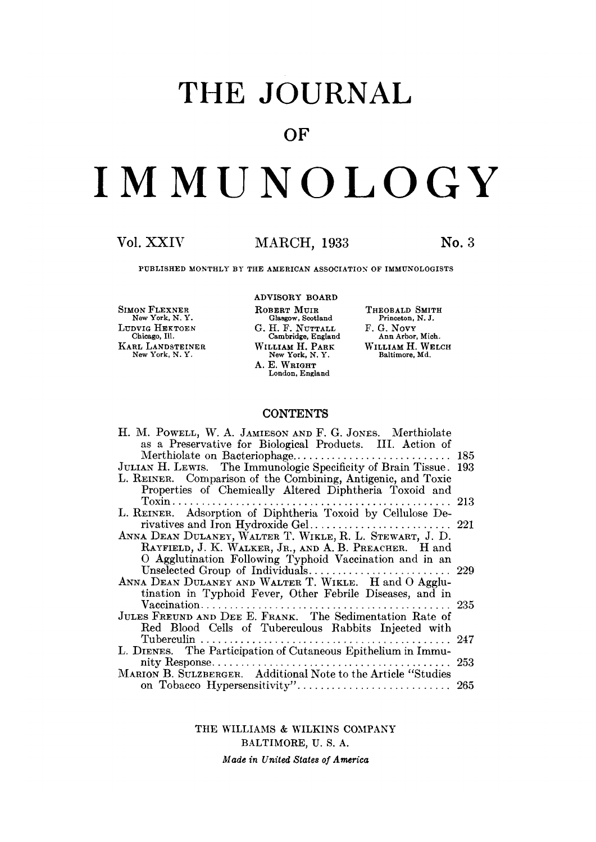## **THE JOURNAL**

### **OF**

# **IMMUNOLOGY**

#### **Vol. XXIV MARCH, 1933 No. 3**

PUBLISHED MONTHLY BY THE AMERICAN ASSOCIATION OF IMMUNOLOGISTS

SIMON FLEXNER New York. N. Y. LUDVIG HEKTOEN Chicago, Ill. KARL LANDSTEINER New York, N. Y. ADVISORY BOARD **ROBERT** MUIR Glasgow, Scotland  $G. H. F. NUTTALL$ **Cambridge,** EngIand WILLIAM H. PARK New York, N. Y. **A. E. WRIGHT**  London, England

THEOBALD SMITH **Princeton,** N. J. F. G. NovY Ann Arbor. Mich. WILLIAM H. WELCH Baltimore, Md.

#### **CONTENTS**

| H. M. Powell, W. A. Jamieson and F. G. Jones. Merthiolate     |      |
|---------------------------------------------------------------|------|
| as a Preservative for Biological Products. III. Action of     |      |
|                                                               | 185  |
| JULIAN H. LEWIS. The Immunologic Specificity of Brain Tissue. | -193 |
| L. REINER. Comparison of the Combining, Antigenic, and Toxic  |      |
| Properties of Chemically Altered Diphtheria Toxoid and        |      |
|                                                               |      |
| L. REINER. Adsorption of Diphtheria Toxoid by Cellulose De-   |      |
|                                                               |      |
| ANNA DEAN DULANEY, WALTER T. WIKLE, R. L. STEWART, J. D.      |      |
| RAYFIELD, J. K. WALKER, JR., AND A. B. PREACHER. H and        |      |
| O Agglutination Following Typhoid Vaccination and in an       |      |
|                                                               |      |
| ANNA DEAN DULANEY AND WALTER T. WIKLE. H and O Agglu-         |      |
| tination in Typhoid Fever, Other Febrile Diseases, and in     |      |
|                                                               |      |
| JULES FREUND AND DEE E. FRANK. The Sedimentation Rate of      |      |
| Red Blood Cells of Tuberculous Rabbits Injected with          |      |
|                                                               |      |
| L. DIENES. The Participation of Cutaneous Epithelium in Immu- |      |
|                                                               |      |
| MARION B. SULZBERGER. Additional Note to the Article "Studies |      |
|                                                               |      |

THE WILLIAMS & WILKINS COMPANY BALTIMORE, U. S. A. *Made in United States of America*